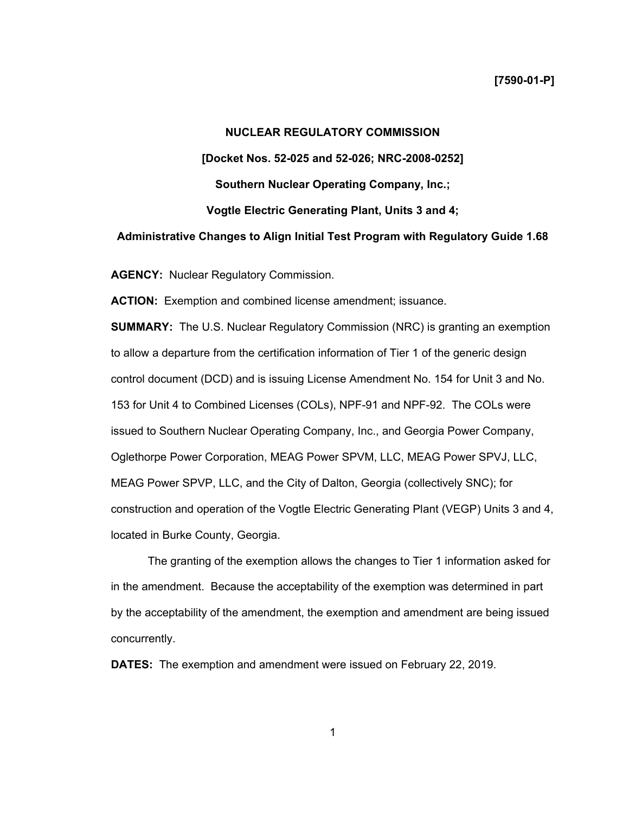# **NUCLEAR REGULATORY COMMISSION [Docket Nos. 52-025 and 52-026; NRC-2008-0252] Southern Nuclear Operating Company, Inc.; Vogtle Electric Generating Plant, Units 3 and 4; Administrative Changes to Align Initial Test Program with Regulatory Guide 1.68**

**AGENCY:** Nuclear Regulatory Commission.

**ACTION:** Exemption and combined license amendment; issuance.

**SUMMARY:** The U.S. Nuclear Regulatory Commission (NRC) is granting an exemption to allow a departure from the certification information of Tier 1 of the generic design control document (DCD) and is issuing License Amendment No. 154 for Unit 3 and No. 153 for Unit 4 to Combined Licenses (COLs), NPF-91 and NPF-92. The COLs were issued to Southern Nuclear Operating Company, Inc., and Georgia Power Company, Oglethorpe Power Corporation, MEAG Power SPVM, LLC, MEAG Power SPVJ, LLC, MEAG Power SPVP, LLC, and the City of Dalton, Georgia (collectively SNC); for construction and operation of the Vogtle Electric Generating Plant (VEGP) Units 3 and 4, located in Burke County, Georgia.

The granting of the exemption allows the changes to Tier 1 information asked for in the amendment. Because the acceptability of the exemption was determined in part by the acceptability of the amendment, the exemption and amendment are being issued concurrently.

**DATES:** The exemption and amendment were issued on February 22, 2019.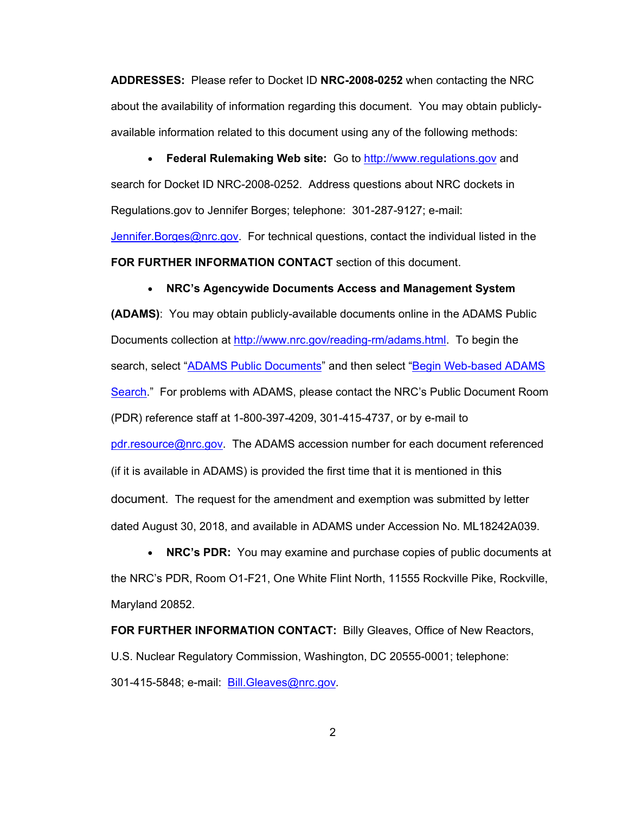**ADDRESSES:** Please refer to Docket ID **NRC-2008-0252** when contacting the NRC about the availability of information regarding this document. You may obtain publiclyavailable information related to this document using any of the following methods:

• **Federal Rulemaking Web site:** Go to http://www.regulations.gov and search for Docket ID NRC-2008-0252. Address questions about NRC dockets in Regulations.gov to Jennifer Borges; telephone: 301-287-9127; e-mail: Jennifer. Borges@nrc.gov. For technical questions, contact the individual listed in the **FOR FURTHER INFORMATION CONTACT** section of this document.

## • **NRC's Agencywide Documents Access and Management System**

**(ADAMS)**: You may obtain publicly-available documents online in the ADAMS Public Documents collection at http://www.nrc.gov/reading-rm/adams.html. To begin the search, select "ADAMS Public Documents" and then select "Begin Web-based ADAMS Search." For problems with ADAMS, please contact the NRC's Public Document Room (PDR) reference staff at 1-800-397-4209, 301-415-4737, or by e-mail to pdr.resource@nrc.gov. The ADAMS accession number for each document referenced (if it is available in ADAMS) is provided the first time that it is mentioned in this document. The request for the amendment and exemption was submitted by letter dated August 30, 2018, and available in ADAMS under Accession No. ML18242A039.

• **NRC's PDR:** You may examine and purchase copies of public documents at the NRC's PDR, Room O1-F21, One White Flint North, 11555 Rockville Pike, Rockville, Maryland 20852.

**FOR FURTHER INFORMATION CONTACT:** Billy Gleaves, Office of New Reactors, U.S. Nuclear Regulatory Commission, Washington, DC 20555-0001; telephone: 301-415-5848; e-mail: Bill.Gleaves@nrc.gov*.*

2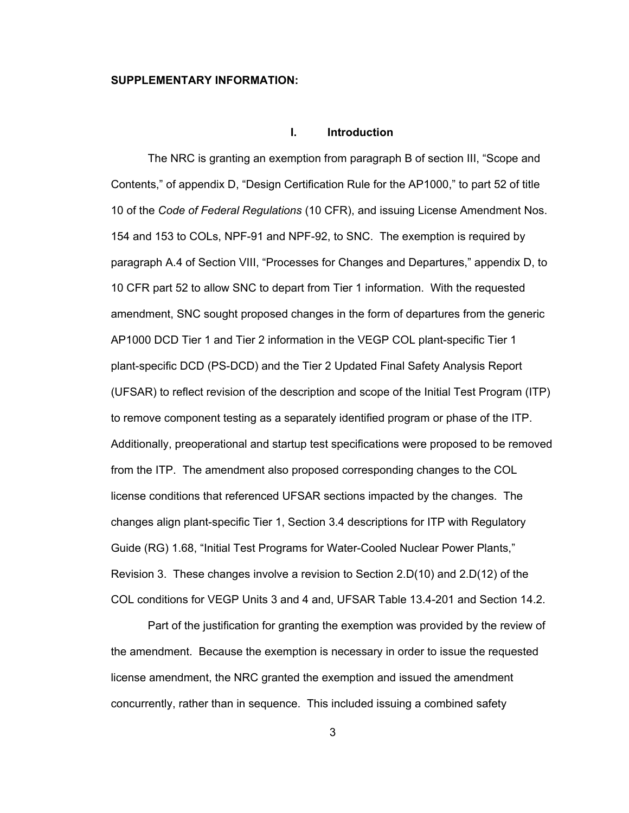### **SUPPLEMENTARY INFORMATION:**

## **I. Introduction**

The NRC is granting an exemption from paragraph B of section III, "Scope and Contents," of appendix D, "Design Certification Rule for the AP1000," to part 52 of title 10 of the *Code of Federal Regulations* (10 CFR), and issuing License Amendment Nos. 154 and 153 to COLs, NPF-91 and NPF-92, to SNC. The exemption is required by paragraph A.4 of Section VIII, "Processes for Changes and Departures," appendix D, to 10 CFR part 52 to allow SNC to depart from Tier 1 information. With the requested amendment, SNC sought proposed changes in the form of departures from the generic AP1000 DCD Tier 1 and Tier 2 information in the VEGP COL plant-specific Tier 1 plant-specific DCD (PS-DCD) and the Tier 2 Updated Final Safety Analysis Report (UFSAR) to reflect revision of the description and scope of the Initial Test Program (ITP) to remove component testing as a separately identified program or phase of the ITP. Additionally, preoperational and startup test specifications were proposed to be removed from the ITP. The amendment also proposed corresponding changes to the COL license conditions that referenced UFSAR sections impacted by the changes. The changes align plant-specific Tier 1, Section 3.4 descriptions for ITP with Regulatory Guide (RG) 1.68, "Initial Test Programs for Water-Cooled Nuclear Power Plants," Revision 3. These changes involve a revision to Section 2.D(10) and 2.D(12) of the COL conditions for VEGP Units 3 and 4 and, UFSAR Table 13.4-201 and Section 14.2.

Part of the justification for granting the exemption was provided by the review of the amendment. Because the exemption is necessary in order to issue the requested license amendment, the NRC granted the exemption and issued the amendment concurrently, rather than in sequence. This included issuing a combined safety

3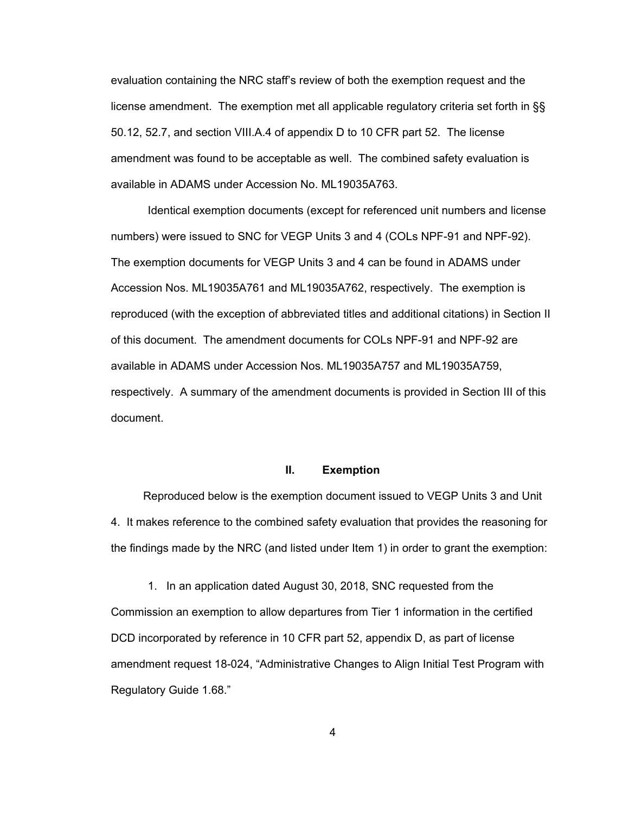evaluation containing the NRC staff's review of both the exemption request and the license amendment. The exemption met all applicable regulatory criteria set forth in §§ 50.12, 52.7, and section VIII.A.4 of appendix D to 10 CFR part 52. The license amendment was found to be acceptable as well. The combined safety evaluation is available in ADAMS under Accession No. ML19035A763.

Identical exemption documents (except for referenced unit numbers and license numbers) were issued to SNC for VEGP Units 3 and 4 (COLs NPF-91 and NPF-92). The exemption documents for VEGP Units 3 and 4 can be found in ADAMS under Accession Nos. ML19035A761 and ML19035A762, respectively. The exemption is reproduced (with the exception of abbreviated titles and additional citations) in Section II of this document. The amendment documents for COLs NPF-91 and NPF-92 are available in ADAMS under Accession Nos. ML19035A757 and ML19035A759, respectively. A summary of the amendment documents is provided in Section III of this document.

#### **II. Exemption**

 Reproduced below is the exemption document issued to VEGP Units 3 and Unit 4. It makes reference to the combined safety evaluation that provides the reasoning for the findings made by the NRC (and listed under Item 1) in order to grant the exemption:

 1. In an application dated August 30, 2018, SNC requested from the Commission an exemption to allow departures from Tier 1 information in the certified DCD incorporated by reference in 10 CFR part 52, appendix D, as part of license amendment request 18-024, "Administrative Changes to Align Initial Test Program with Regulatory Guide 1.68."

4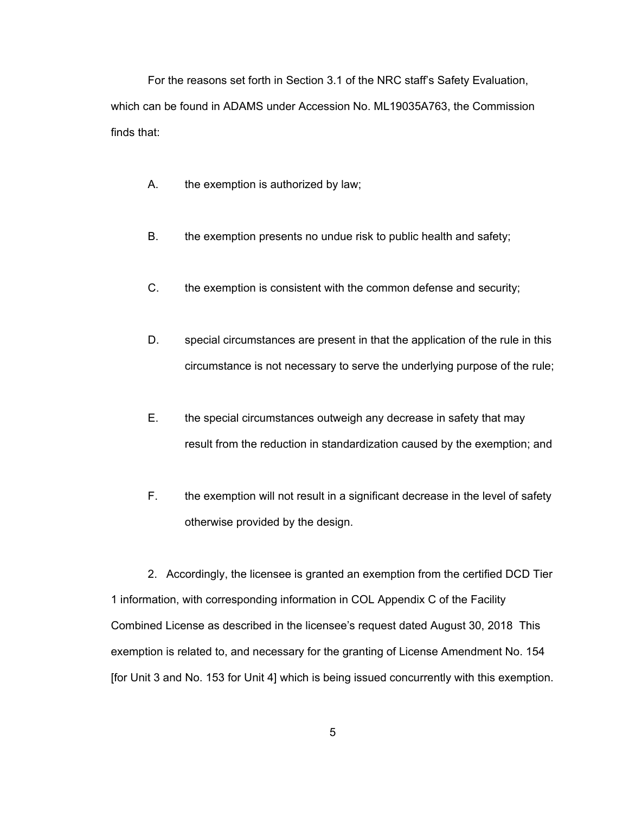For the reasons set forth in Section 3.1 of the NRC staff's Safety Evaluation, which can be found in ADAMS under Accession No. ML19035A763, the Commission finds that:

- A. the exemption is authorized by law;
- B. the exemption presents no undue risk to public health and safety;
- C. the exemption is consistent with the common defense and security;
- D. special circumstances are present in that the application of the rule in this circumstance is not necessary to serve the underlying purpose of the rule;
- E. the special circumstances outweigh any decrease in safety that may result from the reduction in standardization caused by the exemption; and
- F. the exemption will not result in a significant decrease in the level of safety otherwise provided by the design.

2. Accordingly, the licensee is granted an exemption from the certified DCD Tier 1 information, with corresponding information in COL Appendix C of the Facility Combined License as described in the licensee's request dated August 30, 2018 This exemption is related to, and necessary for the granting of License Amendment No. 154 [for Unit 3 and No. 153 for Unit 4] which is being issued concurrently with this exemption.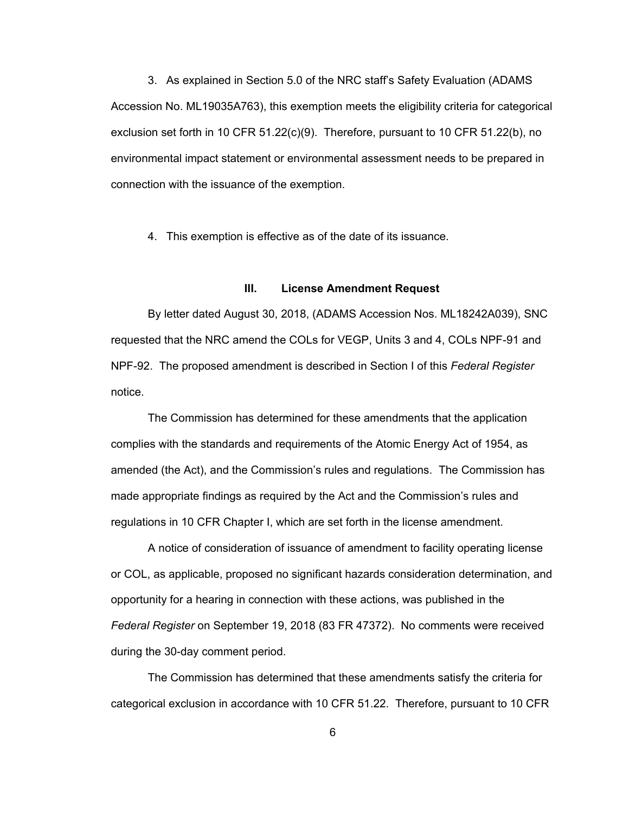3. As explained in Section 5.0 of the NRC staff's Safety Evaluation (ADAMS Accession No. ML19035A763), this exemption meets the eligibility criteria for categorical exclusion set forth in 10 CFR 51.22(c)(9). Therefore, pursuant to 10 CFR 51.22(b), no environmental impact statement or environmental assessment needs to be prepared in connection with the issuance of the exemption.

4. This exemption is effective as of the date of its issuance.

## **III. License Amendment Request**

By letter dated August 30, 2018, (ADAMS Accession Nos. ML18242A039), SNC requested that the NRC amend the COLs for VEGP, Units 3 and 4, COLs NPF-91 and NPF-92. The proposed amendment is described in Section I of this *Federal Register* notice.

The Commission has determined for these amendments that the application complies with the standards and requirements of the Atomic Energy Act of 1954, as amended (the Act), and the Commission's rules and regulations. The Commission has made appropriate findings as required by the Act and the Commission's rules and regulations in 10 CFR Chapter I, which are set forth in the license amendment.

A notice of consideration of issuance of amendment to facility operating license or COL, as applicable, proposed no significant hazards consideration determination, and opportunity for a hearing in connection with these actions, was published in the *Federal Register* on September 19, 2018 (83 FR 47372). No comments were received during the 30-day comment period.

The Commission has determined that these amendments satisfy the criteria for categorical exclusion in accordance with 10 CFR 51.22. Therefore, pursuant to 10 CFR